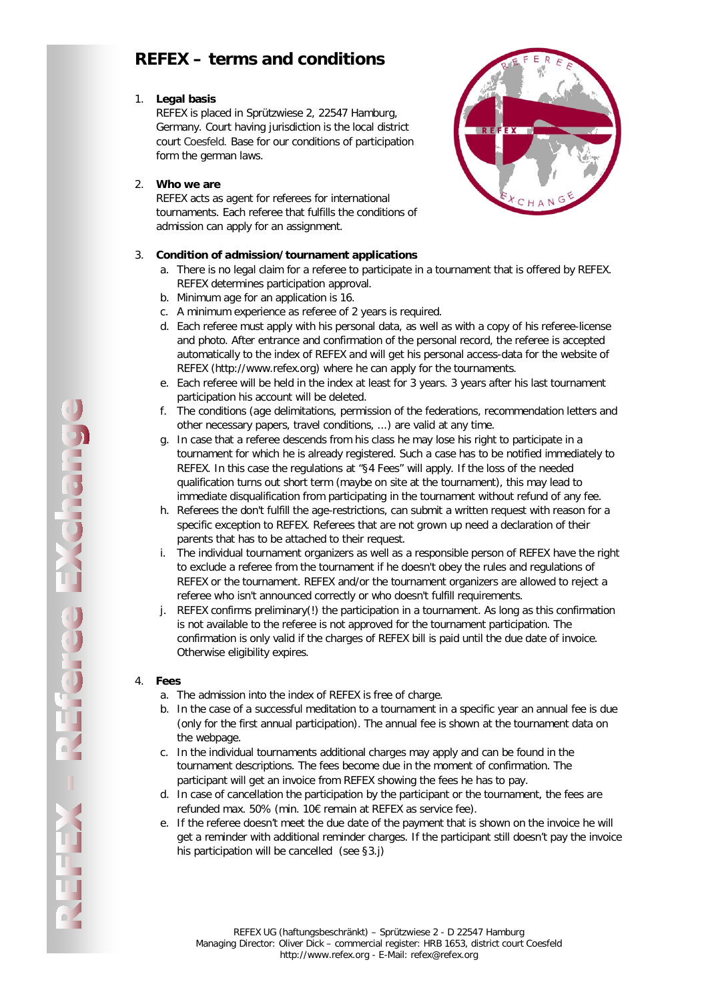# **REFEX – terms and conditions**

# 1. **Legal basis**

REFEX is placed in Sprützwiese 2, 22547 Hamburg, Germany. Court having jurisdiction is the local district court Coesfeld. Base for our conditions of participation form the german laws.

### 2. **Who we are**

REFEX acts as agent for referees for international tournaments. Each referee that fulfills the conditions of admission can apply for an assignment.

# 3. **Condition of admission/tournament applications**

- a. There is no legal claim for a referee to participate in a tournament that is offered by REFEX. REFEX determines participation approval.
- b. Minimum age for an application is 16.
- c. A minimum experience as referee of 2 years is required.
- d. Each referee must apply with his personal data, as well as with a copy of his referee-license and photo. After entrance and confirmation of the personal record, the referee is accepted automatically to the index of REFEX and will get his personal access-data for the website of REFEX (http://www.refex.org) where he can apply for the tournaments.
- e. Each referee will be held in the index at least for 3 years. 3 years after his last tournament participation his account will be deleted.
- f. The conditions (age delimitations, permission of the federations, recommendation letters and other necessary papers, travel conditions, ...) are valid at any time.
- g. In case that a referee descends from his class he may lose his right to participate in a tournament for which he is already registered. Such a case has to be notified immediately to REFEX. In this case the regulations at "§4 Fees" will apply. If the loss of the needed qualification turns out short term (maybe on site at the tournament), this may lead to immediate disqualification from participating in the tournament without refund of any fee.
- h. Referees the don't fulfill the age-restrictions, can submit a written request with reason for a specific exception to REFEX. Referees that are not grown up need a declaration of their parents that has to be attached to their request.
- i. The individual tournament organizers as well as a responsible person of REFEX have the right to exclude a referee from the tournament if he doesn't obey the rules and regulations of REFEX or the tournament. REFEX and/or the tournament organizers are allowed to reject a referee who isn't announced correctly or who doesn't fulfill requirements.
- j. REFEX confirms preliminary(!) the participation in a tournament. As long as this confirmation is not available to the referee is not approved for the tournament participation. The confirmation is only valid if the charges of REFEX bill is paid until the due date of invoice. Otherwise eligibility expires.

# 4. **Fees**

- a. The admission into the index of REFEX is free of charge.
- b. In the case of a successful meditation to a tournament in a specific year an annual fee is due (only for the first annual participation). The annual fee is shown at the tournament data on the webpage.
- c. In the individual tournaments additional charges may apply and can be found in the tournament descriptions. The fees become due in the moment of confirmation. The participant will get an invoice from REFEX showing the fees he has to pay.
- d. In case of cancellation the participation by the participant or the tournament, the fees are refunded max. 50% (min. 10€ remain at REFEX as service fee).
- e. If the referee doesn't meet the due date of the payment that is shown on the invoice he will get a reminder with additional reminder charges. If the participant still doesn't pay the invoice his participation will be cancelled (see §3.j)